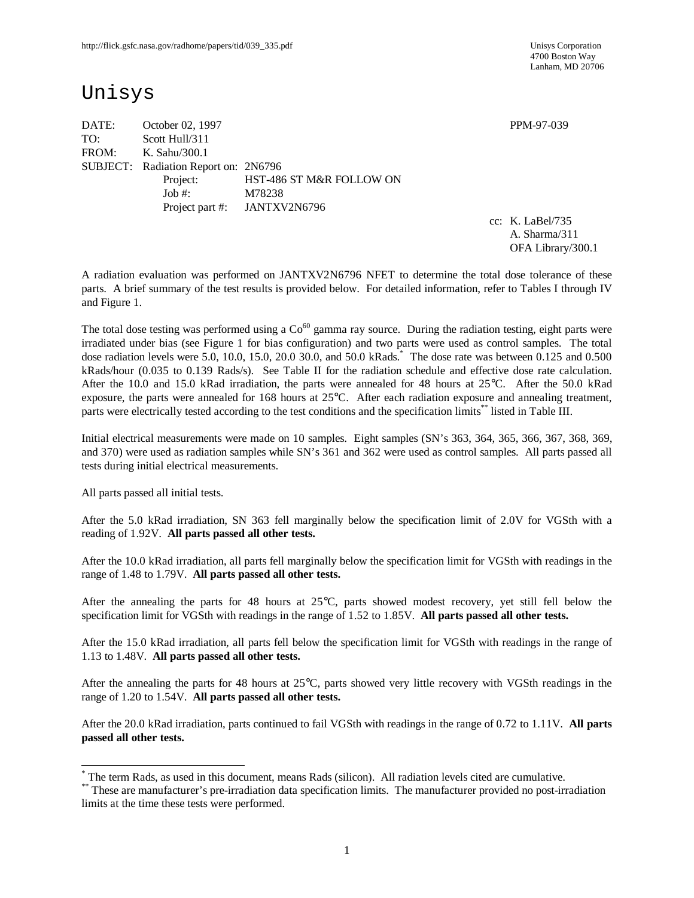4700 Boston Way Lanham, MD 20706

# Unisys

DATE: October 02, 1997 PPM-97-039 TO: Scott Hull/311 FROM: K. Sahu/300.1 SUBJECT: Radiation Report on: 2N6796 Project: HST-486 ST M&R FOLLOW ON Job #: M78238 Project part #: JANTXV2N6796

cc: K. LaBel/735 A. Sharma/311 OFA Library/300.1

A radiation evaluation was performed on JANTXV2N6796 NFET to determine the total dose tolerance of these parts. A brief summary of the test results is provided below. For detailed information, refer to Tables I through IV and Figure 1.

The total dose testing was performed using a  $Co<sup>60</sup>$  gamma ray source. During the radiation testing, eight parts were irradiated under bias (see Figure 1 for bias configuration) and two parts were used as control samples. The total dose radiation levels were 5.0, 10.0, 15.0, 20.0 30.0, and 50.0 kRads.\* The dose rate was between 0.125 and 0.500 kRads/hour (0.035 to 0.139 Rads/s). See Table II for the radiation schedule and effective dose rate calculation. After the 10.0 and 15.0 kRad irradiation, the parts were annealed for 48 hours at 25°C. After the 50.0 kRad exposure, the parts were annealed for 168 hours at 25°C. After each radiation exposure and annealing treatment, parts were electrically tested according to the test conditions and the specification limits\*\* listed in Table III.

Initial electrical measurements were made on 10 samples. Eight samples (SN's 363, 364, 365, 366, 367, 368, 369, and 370) were used as radiation samples while SN's 361 and 362 were used as control samples. All parts passed all tests during initial electrical measurements.

All parts passed all initial tests.

-

After the 5.0 kRad irradiation, SN 363 fell marginally below the specification limit of 2.0V for VGSth with a reading of 1.92V. **All parts passed all other tests.**

After the 10.0 kRad irradiation, all parts fell marginally below the specification limit for VGSth with readings in the range of 1.48 to 1.79V. **All parts passed all other tests.**

After the annealing the parts for 48 hours at 25°C, parts showed modest recovery, yet still fell below the specification limit for VGSth with readings in the range of 1.52 to 1.85V. **All parts passed all other tests.**

After the 15.0 kRad irradiation, all parts fell below the specification limit for VGSth with readings in the range of 1.13 to 1.48V. **All parts passed all other tests.**

After the annealing the parts for 48 hours at 25°C, parts showed very little recovery with VGSth readings in the range of 1.20 to 1.54V. **All parts passed all other tests.**

After the 20.0 kRad irradiation, parts continued to fail VGSth with readings in the range of 0.72 to 1.11V. **All parts passed all other tests.**

<sup>\*</sup> The term Rads, as used in this document, means Rads (silicon). All radiation levels cited are cumulative.

<sup>\*\*</sup> These are manufacturer's pre-irradiation data specification limits. The manufacturer provided no post-irradiation limits at the time these tests were performed.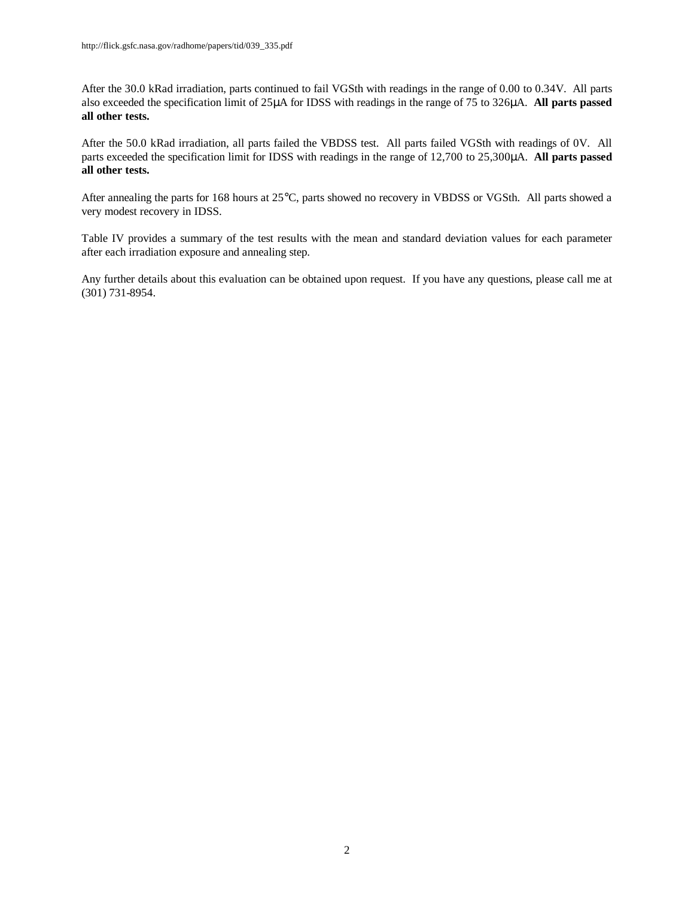After the 30.0 kRad irradiation, parts continued to fail VGSth with readings in the range of 0.00 to 0.34V. All parts also exceeded the specification limit of 25μA for IDSS with readings in the range of 75 to 326μA. **All parts passed all other tests.**

After the 50.0 kRad irradiation, all parts failed the VBDSS test. All parts failed VGSth with readings of 0V. All parts exceeded the specification limit for IDSS with readings in the range of 12,700 to 25,300μA. **All parts passed all other tests.**

After annealing the parts for 168 hours at 25°C, parts showed no recovery in VBDSS or VGSth. All parts showed a very modest recovery in IDSS.

Table IV provides a summary of the test results with the mean and standard deviation values for each parameter after each irradiation exposure and annealing step.

Any further details about this evaluation can be obtained upon request. If you have any questions, please call me at (301) 731-8954.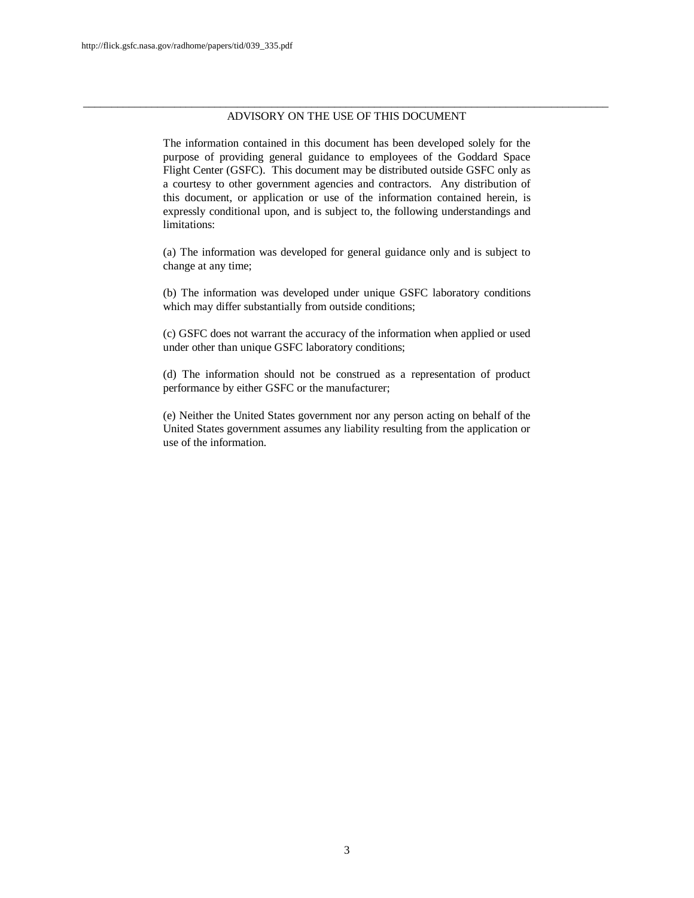#### \_\_\_\_\_\_\_\_\_\_\_\_\_\_\_\_\_\_\_\_\_\_\_\_\_\_\_\_\_\_\_\_\_\_\_\_\_\_\_\_\_\_\_\_\_\_\_\_\_\_\_\_\_\_\_\_\_\_\_\_\_\_\_\_\_\_\_\_\_\_\_\_\_\_\_\_\_\_\_\_\_\_\_\_\_\_\_\_\_\_\_\_ ADVISORY ON THE USE OF THIS DOCUMENT

The information contained in this document has been developed solely for the purpose of providing general guidance to employees of the Goddard Space Flight Center (GSFC). This document may be distributed outside GSFC only as a courtesy to other government agencies and contractors. Any distribution of this document, or application or use of the information contained herein, is expressly conditional upon, and is subject to, the following understandings and limitations:

(a) The information was developed for general guidance only and is subject to change at any time;

(b) The information was developed under unique GSFC laboratory conditions which may differ substantially from outside conditions;

(c) GSFC does not warrant the accuracy of the information when applied or used under other than unique GSFC laboratory conditions;

(d) The information should not be construed as a representation of product performance by either GSFC or the manufacturer;

(e) Neither the United States government nor any person acting on behalf of the United States government assumes any liability resulting from the application or use of the information.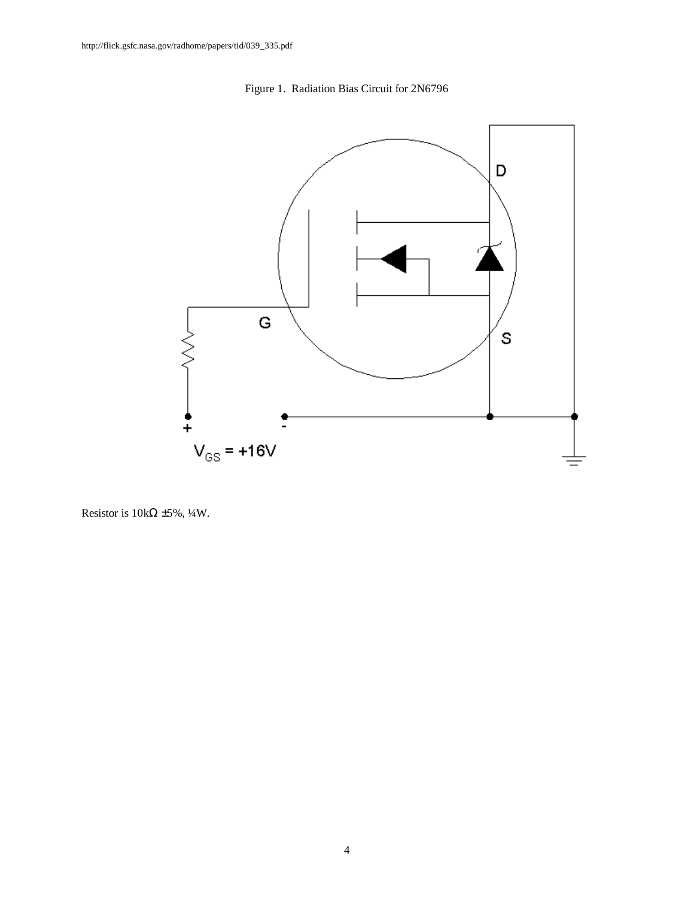



Resistor is  $10k\Omega \pm 5\%, \frac{1}{4}W$ .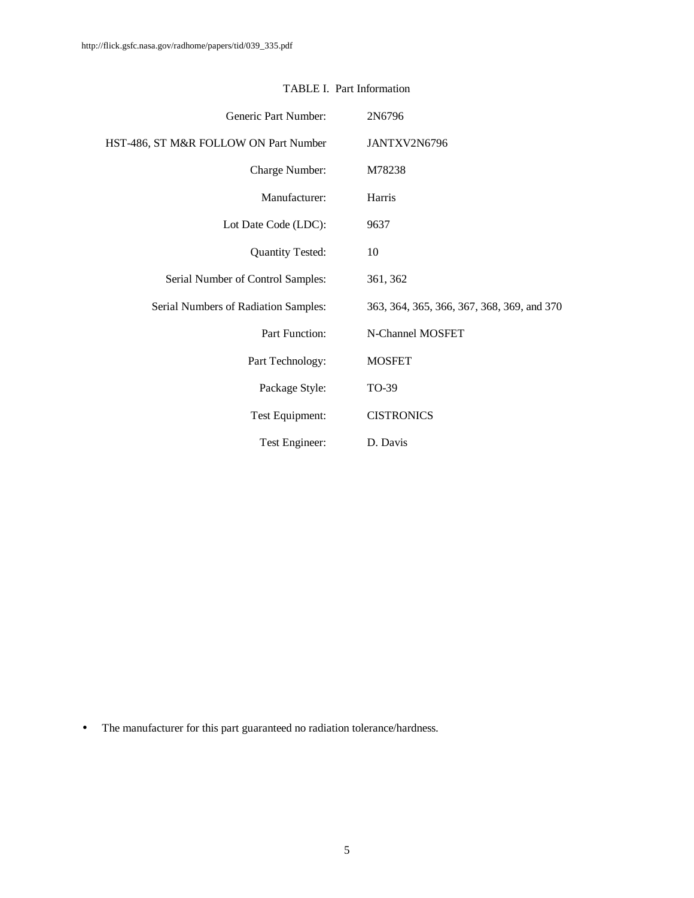| Generic Part Number:                  | 2N6796                                     |
|---------------------------------------|--------------------------------------------|
| HST-486, ST M&R FOLLOW ON Part Number | JANTXV2N6796                               |
| Charge Number:                        | M78238                                     |
| Manufacturer:                         | Harris                                     |
| Lot Date Code (LDC):                  | 9637                                       |
| <b>Quantity Tested:</b>               | 10                                         |
| Serial Number of Control Samples:     | 361, 362                                   |
| Serial Numbers of Radiation Samples:  | 363, 364, 365, 366, 367, 368, 369, and 370 |
| Part Function:                        | N-Channel MOSFET                           |
| Part Technology:                      | <b>MOSFET</b>                              |
| Package Style:                        | TO-39                                      |
| Test Equipment:                       | <b>CISTRONICS</b>                          |
| Test Engineer:                        | D. Davis                                   |

### TABLE I. Part Information

• The manufacturer for this part guaranteed no radiation tolerance/hardness.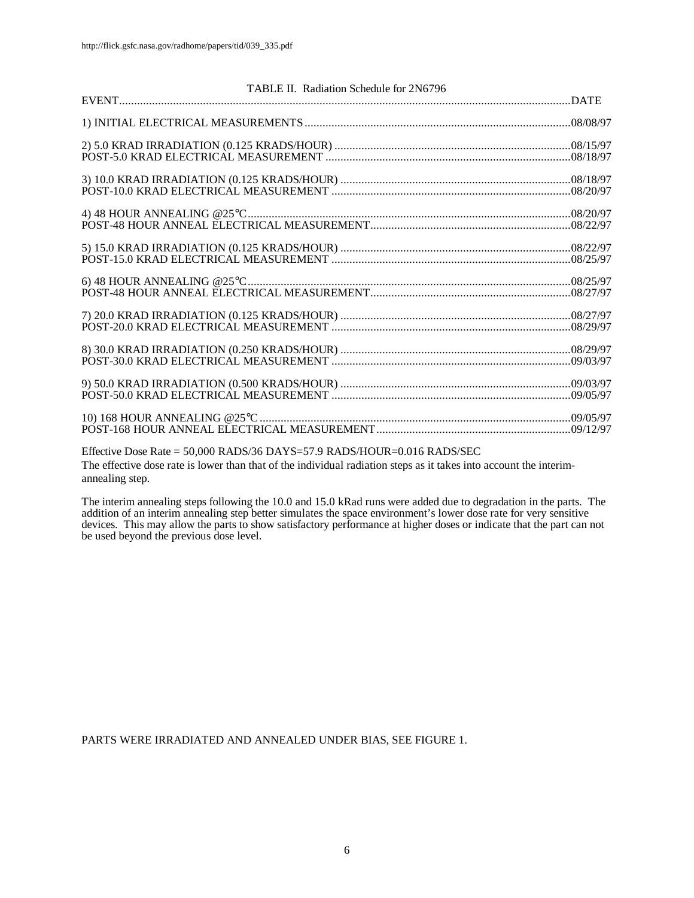| TABLE II. Radiation Schedule for 2N6796                                 |  |
|-------------------------------------------------------------------------|--|
|                                                                         |  |
|                                                                         |  |
|                                                                         |  |
|                                                                         |  |
|                                                                         |  |
|                                                                         |  |
|                                                                         |  |
|                                                                         |  |
|                                                                         |  |
|                                                                         |  |
|                                                                         |  |
|                                                                         |  |
|                                                                         |  |
|                                                                         |  |
|                                                                         |  |
|                                                                         |  |
|                                                                         |  |
|                                                                         |  |
|                                                                         |  |
|                                                                         |  |
| Effective Dose Rate = 50,000 RADS/36 DAYS=57.9 RADS/HOUR=0.016 RADS/SEC |  |

The effective dose rate is lower than that of the individual radiation steps as it takes into account the interimannealing step.

The interim annealing steps following the 10.0 and 15.0 kRad runs were added due to degradation in the parts. The addition of an interim annealing step better simulates the space environment's lower dose rate for very sensitive devices. This may allow the parts to show satisfactory performance at higher doses or indicate that the part can not be used beyond the previous dose level.

PARTS WERE IRRADIATED AND ANNEALED UNDER BIAS, SEE FIGURE 1.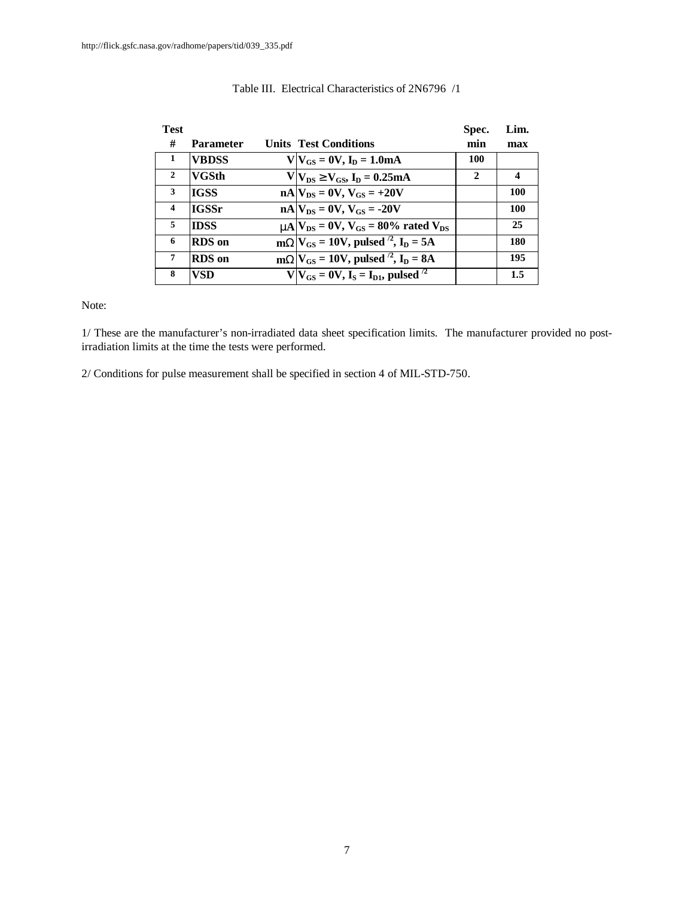| <b>Test</b>             |                  |                                                              | Spec.        | Lim.             |
|-------------------------|------------------|--------------------------------------------------------------|--------------|------------------|
| #                       | <b>Parameter</b> | <b>Units Test Conditions</b>                                 | min          | max              |
| -1                      | <b>VBDSS</b>     | $V V_{GS} = 0V, I_D = 1.0mA$                                 | 100          |                  |
| 2                       | <b>VGSth</b>     | $V V_{DS}$ <sup>3</sup> $V_{GS}$ , $I_D = 0.25mA$            | $\mathbf{2}$ | $\boldsymbol{4}$ |
| 3                       | <b>IGSS</b>      | $nA V_{DS} = 0V$ , $V_{GS} = +20V$                           |              | 100              |
| $\overline{\mathbf{4}}$ | <b>IGSSr</b>     | $nA$ $V_{DS} = 0V$ , $V_{GS} = -20V$                         |              | 100              |
| 5                       | <b>IDSS</b>      | $mA$ $V_{DS}$ = 0V, $V_{GS}$ = 80% rated $V_{DS}$            |              | 25               |
| 6                       | <b>RDS</b> on    | $mWV_{GS} = 10V$ , pulsed <sup>2</sup> , I <sub>D</sub> = 5A |              | 180              |
| 7                       | <b>RDS</b> on    | $mWV_{GS} = 10V$ , pulsed <sup>2</sup> , I <sub>D</sub> = 8A |              | 195              |
| 8                       | VSD              | $V V_{GS} = 0V$ , $I_S = I_{D1}$ , pulsed <sup>/2</sup>      |              | 1.5              |

#### Table III. Electrical Characteristics of 2N6796 /1

Note:

1/ These are the manufacturer's non-irradiated data sheet specification limits. The manufacturer provided no postirradiation limits at the time the tests were performed.

2/ Conditions for pulse measurement shall be specified in section 4 of MIL-STD-750.